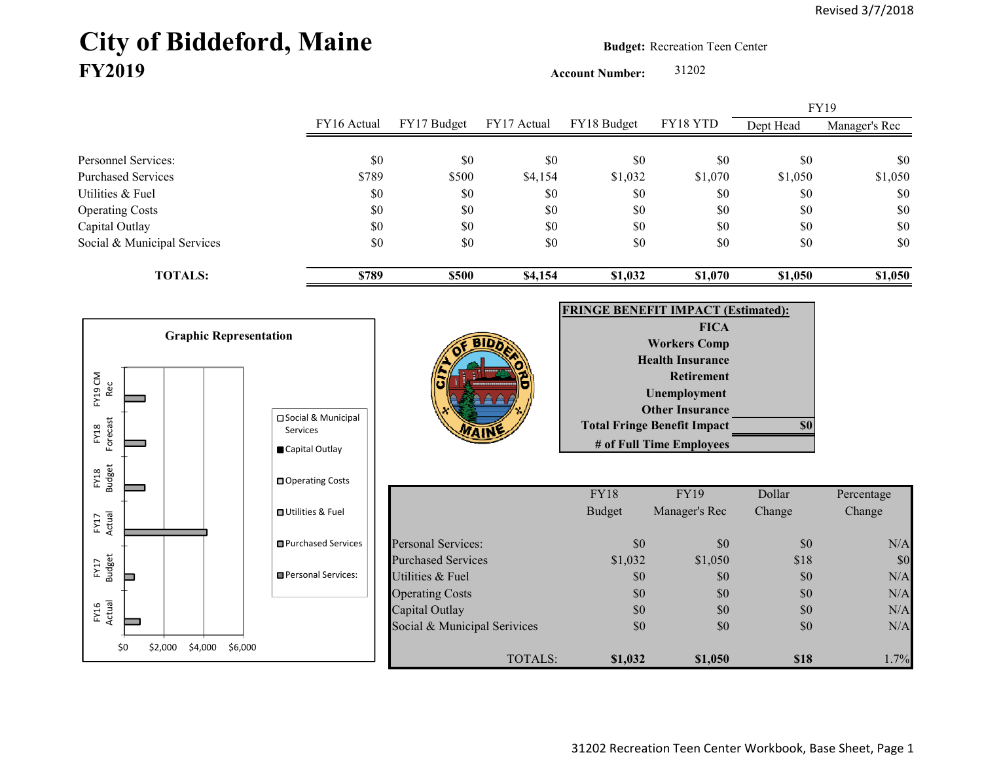## City of Biddeford, Maine **Budget:** Recreation Teen Center **FY2019**

**Account Number:** 31202

FY16 Actual FY17 Budget FY17 Actual FY18 Budget FY18 YTD Dept Head Manager's Rec Personnel Services: \$0 \$0 \$0 \$0 \$0 \$0 \$0 Purchased Services 6789 \$789 \$500 \$4,154 \$1,032 \$1,070 \$1,050 \$1,050 Utilities & Fuel \$0 \$0 \$0 \$0 \$0 \$0 \$0 Operating Costs \$0 \$0 \$0 \$0 \$0 \$0 Capital Outlay \$0 \$0 \$0 \$0 \$0 \$0 Social & Municipal Services \$0 \$0 \$0 \$0 \$0 \$0 \$0 **TOTALS: \$789 \$500 \$4,154 \$1,032 \$1,070 \$1,050 \$1,050** FY19

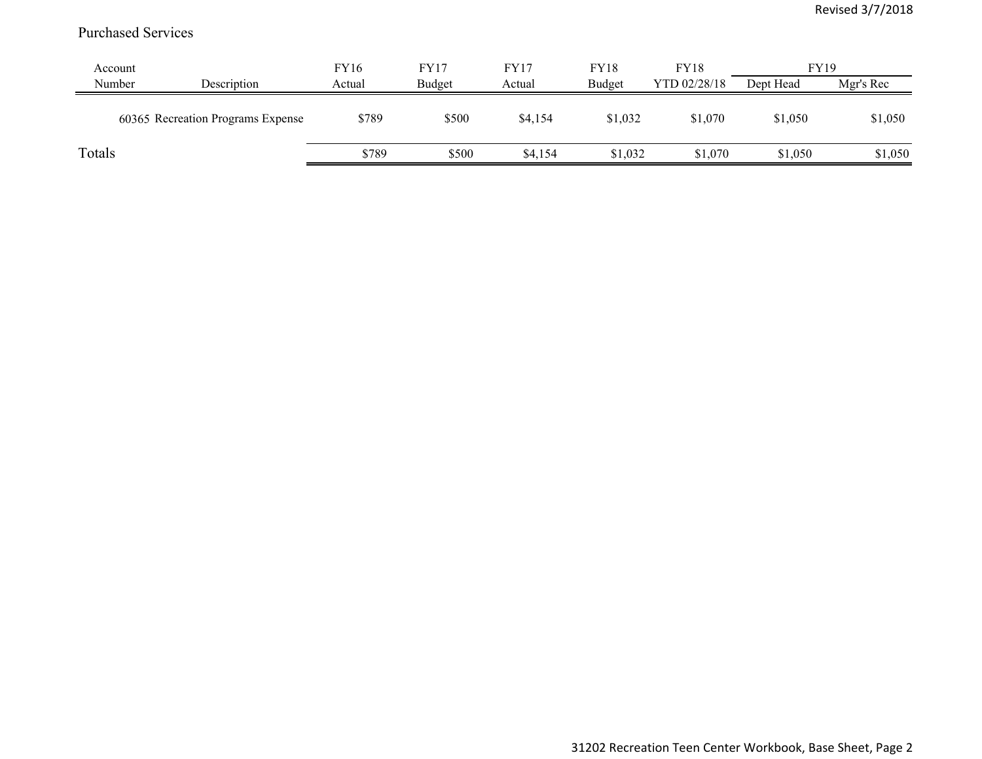## Purchased Services

| Account |                                   | FY16   | FY17   | FY17    | <b>FY18</b> | <b>FY18</b>  | <b>FY19</b> |           |
|---------|-----------------------------------|--------|--------|---------|-------------|--------------|-------------|-----------|
| Number  | Description                       | Actual | Budget | Actual  | Budget      | YTD 02/28/18 | Dept Head   | Mgr's Rec |
|         | 60365 Recreation Programs Expense | \$789  | \$500  | \$4,154 | \$1,032     | \$1,070      | \$1,050     | \$1,050   |
| Totals  |                                   | \$789  | \$500  | \$4,154 | \$1,032     | \$1,070      | \$1,050     | \$1,050   |